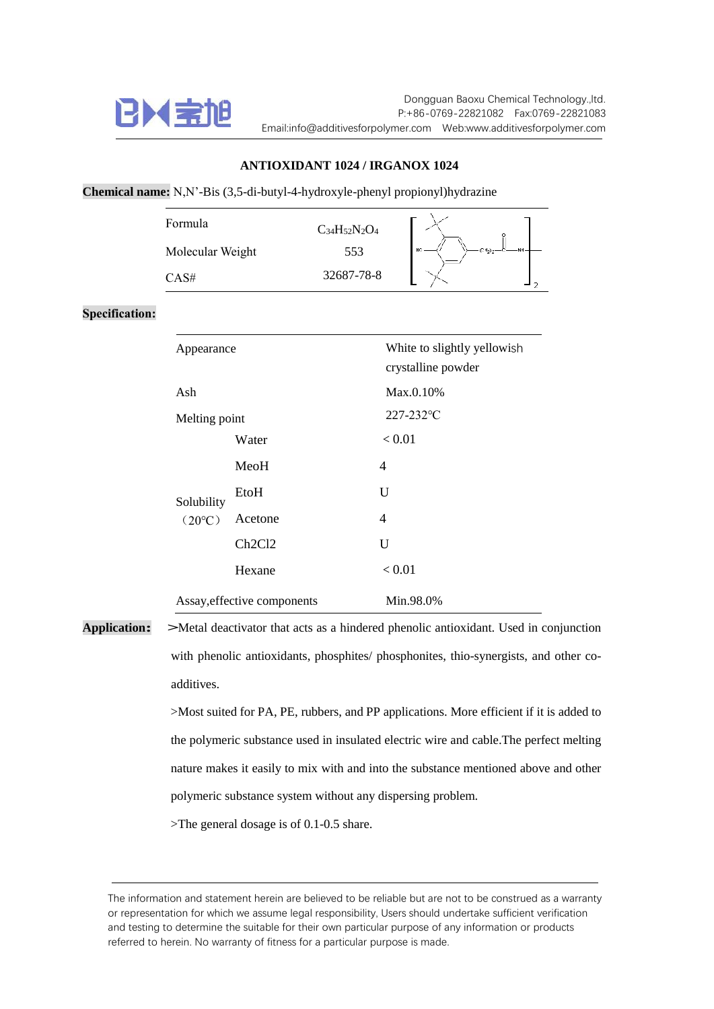

## **ANTIOXIDANT 1024 / IRGANOX 1024**

**Chemical name:** N,N'-Bis (3,5-di-butyl-4-hydroxyle-phenyl propionyl)hydrazine

| Formula          | $C_{34}H_{52}N_2O_4$ |    |
|------------------|----------------------|----|
| Molecular Weight | 553                  | HO |
| CAS#             | 32687-78-8           |    |

## **Specification:**

| Appearance                  |                                 | White to slightly yellowish<br>crystalline powder |
|-----------------------------|---------------------------------|---------------------------------------------------|
| Ash                         |                                 | Max.0.10%                                         |
| Melting point               |                                 | $227 - 232$ °C                                    |
|                             | Water                           | ${}_{\leq 0.01}$                                  |
|                             | MeoH                            | 4                                                 |
| Solubility                  | EtoH                            | U                                                 |
| $(20^{\circ}C)$             | Acetone                         | 4                                                 |
|                             | Ch <sub>2</sub> C <sub>12</sub> | U                                                 |
|                             | Hexane                          | ${}_{0.01}$                                       |
| Assay, effective components |                                 | Min.98.0%                                         |

**Application: >**Metal deactivator that acts as a hindered phenolic antioxidant. Used in conjunction with phenolic antioxidants, phosphites/ phosphonites, thio-synergists, and other coadditives.

> >Most suited for PA, PE, rubbers, and PP applications. More efficient if it is added to the polymeric substance used in insulated electric wire and cable.The perfect melting nature makes it easily to mix with and into the substance mentioned above and other polymeric substance system without any dispersing problem.

>The general dosage is of 0.1-0.5 share.

The information and statement herein are believed to be reliable but are not to be construed as a warranty or representation for which we assume legal responsibility, Users should undertake sufficient verification and testing to determine the suitable for their own particular purpose of any information or products referred to herein. No warranty of fitness for a particular purpose is made.